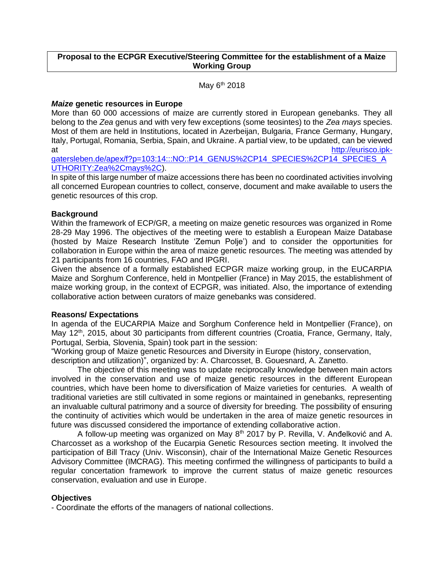## **Proposal to the ECPGR Executive/Steering Committee for the establishment of a Maize Working Group**

May  $6<sup>th</sup>$  2018

# *Maize* **genetic resources in Europe**

More than 60 000 accessions of maize are currently stored in European genebanks. They all belong to the *Zea* genus and with very few exceptions (some teosintes) to the *Zea mays* species. Most of them are held in Institutions, located in Azerbeijan, Bulgaria, France Germany, Hungary, Italy, Portugal, Romania, Serbia, Spain, and Ukraine. A partial view, to be updated, can be viewed at [http://eurisco.ipk-](http://eurisco.ipk-gatersleben.de/apex/f?p=103:14:::NO::P14_GENUS%2CP14_SPECIES%2CP14_SPECIES_AUTHORITY:Zea%2Cmays%2C)

[gatersleben.de/apex/f?p=103:14:::NO::P14\\_GENUS%2CP14\\_SPECIES%2CP14\\_SPECIES\\_A](http://eurisco.ipk-gatersleben.de/apex/f?p=103:14:::NO::P14_GENUS%2CP14_SPECIES%2CP14_SPECIES_AUTHORITY:Zea%2Cmays%2C) [UTHORITY:Zea%2Cmays%2C\)](http://eurisco.ipk-gatersleben.de/apex/f?p=103:14:::NO::P14_GENUS%2CP14_SPECIES%2CP14_SPECIES_AUTHORITY:Zea%2Cmays%2C).

In spite of this large number of maize accessions there has been no coordinated activities involving all concerned European countries to collect, conserve, document and make available to users the genetic resources of this crop.

## **Background**

Within the framework of ECP/GR, a meeting on maize genetic resources was organized in Rome 28-29 May 1996. The objectives of the meeting were to establish a European Maize Database (hosted by Maize Research Institute 'Zemun Polje') and to consider the opportunities for collaboration in Europe within the area of maize genetic resources. The meeting was attended by 21 participants from 16 countries, FAO and IPGRI.

Given the absence of a formally established ECPGR maize working group, in the EUCARPIA Maize and Sorghum Conference, held in Montpellier (France) in May 2015, the establishment of maize working group, in the context of ECPGR, was initiated. Also, the importance of extending collaborative action between curators of maize genebanks was considered.

#### **Reasons/ Expectations**

In agenda of the EUCARPIA Maize and Sorghum Conference held in Montpellier (France), on May 12<sup>th</sup>, 2015, about 30 participants from different countries (Croatia, France, Germany, Italy, Portugal, Serbia, Slovenia, Spain) took part in the session:

"Working group of Maize genetic Resources and Diversity in Europe (history, conservation,

description and utilization)", organized by: A. Charcosset, B. Gouesnard, A. Zanetto.

The objective of this meeting was to update reciprocally knowledge between main actors involved in the conservation and use of maize genetic resources in the different European countries, which have been home to diversification of Maize varieties for centuries. A wealth of traditional varieties are still cultivated in some regions or maintained in genebanks, representing an invaluable cultural patrimony and a source of diversity for breeding. The possibility of ensuring the continuity of activities which would be undertaken in the area of maize genetic resources in future was discussed considered the importance of extending collaborative action.

A follow-up meeting was organized on May 8th 2017 by P. Revilla, V. Anđelković and A. Charcosset as a workshop of the Eucarpia Genetic Resources section meeting. It involved the participation of Bill Tracy (Univ. Wisconsin), chair of the International Maize Genetic Resources Advisory Committee (IMCRAG). This meeting confirmed the willingness of participants to build a regular concertation framework to improve the current status of maize genetic resources conservation, evaluation and use in Europe.

# **Objectives**

- Coordinate the efforts of the managers of national collections.